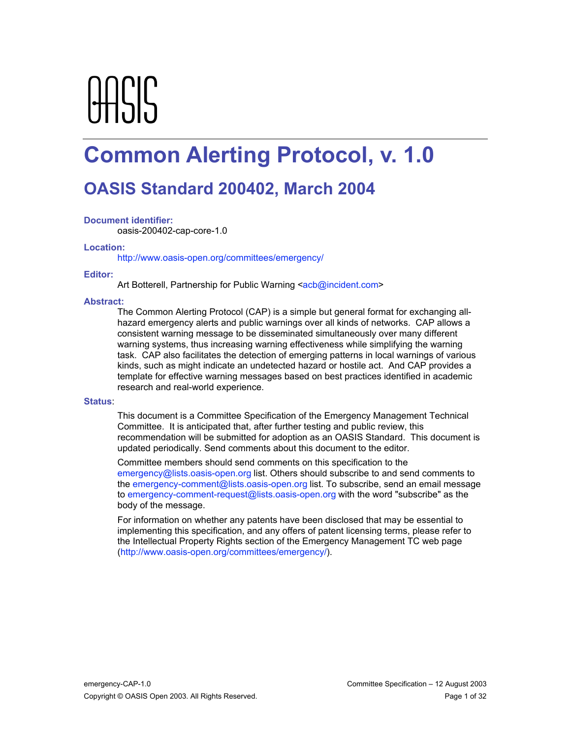# AASIS

# **Common Alerting Protocol, v. 1.0**

# **OASIS Standard 200402, March 2004**

#### **Document identifier:**

oasis-200402-cap-core-1.0

#### **Location:**

http://www.oasis-open.org/committees/emergency/

#### **Editor:**

Art Botterell, Partnership for Public Warning <acb@incident.com>

#### **Abstract:**

The Common Alerting Protocol (CAP) is a simple but general format for exchanging allhazard emergency alerts and public warnings over all kinds of networks. CAP allows a consistent warning message to be disseminated simultaneously over many different warning systems, thus increasing warning effectiveness while simplifying the warning task. CAP also facilitates the detection of emerging patterns in local warnings of various kinds, such as might indicate an undetected hazard or hostile act. And CAP provides a template for effective warning messages based on best practices identified in academic research and real-world experience.

#### **Status**:

This document is a Committee Specification of the Emergency Management Technical Committee. It is anticipated that, after further testing and public review, this recommendation will be submitted for adoption as an OASIS Standard. This document is updated periodically. Send comments about this document to the editor.

Committee members should send comments on this specification to the emergency@lists.oasis-open.org list. Others should subscribe to and send comments to the emergency-comment@lists.oasis-open.org list. To subscribe, send an email message to emergency-comment-request@lists.oasis-open.org with the word "subscribe" as the body of the message.

For information on whether any patents have been disclosed that may be essential to implementing this specification, and any offers of patent licensing terms, please refer to the Intellectual Property Rights section of the Emergency Management TC web page (http://www.oasis-open.org/committees/emergency/).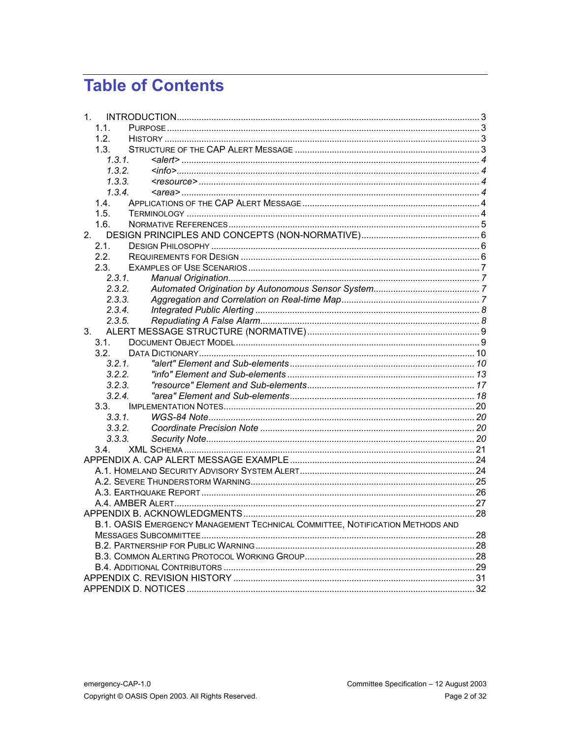# **Table of Contents**

| $1_{-}$                                                                       |  |
|-------------------------------------------------------------------------------|--|
| 1.1.                                                                          |  |
| 1.2.                                                                          |  |
| 1.3.                                                                          |  |
| 1.3.1                                                                         |  |
| 1.3.2.                                                                        |  |
| 1, 3, 3,                                                                      |  |
| 1.3.4.                                                                        |  |
| 1.4.                                                                          |  |
| 1.5.                                                                          |  |
| 1.6.                                                                          |  |
| 2.                                                                            |  |
| 2.1.                                                                          |  |
| 2.2.                                                                          |  |
| 2.3.                                                                          |  |
| 2.3.1.                                                                        |  |
| 2.3.2                                                                         |  |
| 2.3.3.                                                                        |  |
| 2.3.4.                                                                        |  |
| 2.3.5.                                                                        |  |
| 3.                                                                            |  |
| 3.1.                                                                          |  |
| 3.2.                                                                          |  |
| 3.2.1.                                                                        |  |
| 3.2.2.                                                                        |  |
| 3.2.3.                                                                        |  |
| 3.2.4.                                                                        |  |
| 3.3.                                                                          |  |
| 3.3.1.                                                                        |  |
| 3.3.2.                                                                        |  |
| 3.3.3.                                                                        |  |
| 3.4.                                                                          |  |
|                                                                               |  |
|                                                                               |  |
|                                                                               |  |
|                                                                               |  |
|                                                                               |  |
|                                                                               |  |
| B.1. OASIS EMERGENCY MANAGEMENT TECHNICAL COMMITTEE, NOTIFICATION METHODS AND |  |
|                                                                               |  |
|                                                                               |  |
|                                                                               |  |
|                                                                               |  |
|                                                                               |  |
|                                                                               |  |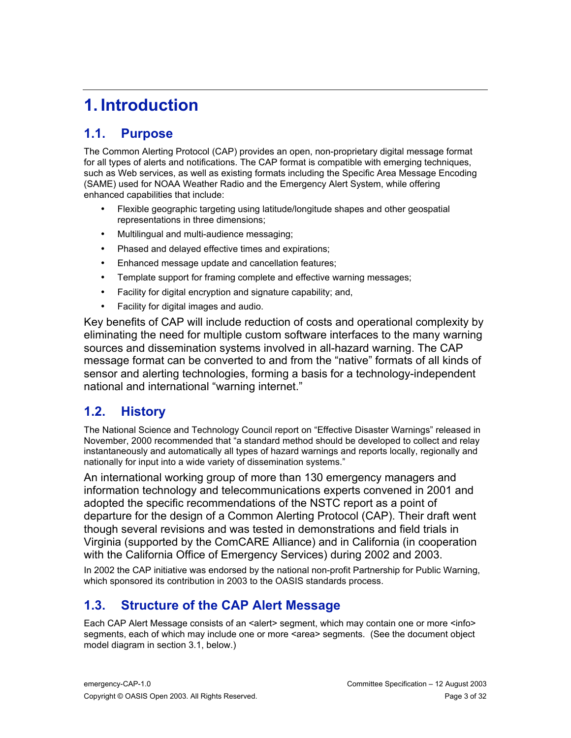# **1. Introduction**

## **1.1. Purpose**

The Common Alerting Protocol (CAP) provides an open, non-proprietary digital message format for all types of alerts and notifications. The CAP format is compatible with emerging techniques, such as Web services, as well as existing formats including the Specific Area Message Encoding (SAME) used for NOAA Weather Radio and the Emergency Alert System, while offering enhanced capabilities that include:

Flexible geographic targeting using latitude/longitude shapes and other geospatial representations in three dimensions;

Multilingual and multi-audience messaging;

Phased and delayed effective times and expirations;

Enhanced message update and cancellation features;

Template support for framing complete and effective warning messages;

Facility for digital encryption and signature capability; and,

Facility for digital images and audio.

Key benefits of CAP will include reduction of costs and operational complexity by eliminating the need for multiple custom software interfaces to the many warning sources and dissemination systems involved in all-hazard warning. The CAP message format can be converted to and from the "native" formats of all kinds of sensor and alerting technologies, forming a basis for a technology-independent national and international "warning internet."

## **1.2. History**

The National Science and Technology Council report on "Effective Disaster Warnings" released in November, 2000 recommended that "a standard method should be developed to collect and relay instantaneously and automatically all types of hazard warnings and reports locally, regionally and nationally for input into a wide variety of dissemination systems."

An international working group of more than 130 emergency managers and information technology and telecommunications experts convened in 2001 and adopted the specific recommendations of the NSTC report as a point of departure for the design of a Common Alerting Protocol (CAP). Their draft went though several revisions and was tested in demonstrations and field trials in Virginia (supported by the ComCARE Alliance) and in California (in cooperation with the California Office of Emergency Services) during 2002 and 2003.

In 2002 the CAP initiative was endorsed by the national non-profit Partnership for Public Warning, which sponsored its contribution in 2003 to the OASIS standards process.

## **1.3. Structure of the CAP Alert Message**

Each CAP Alert Message consists of an <alert> segment, which may contain one or more <info> segments, each of which may include one or more <area> segments. (See the document object model diagram in section 3.1, below.)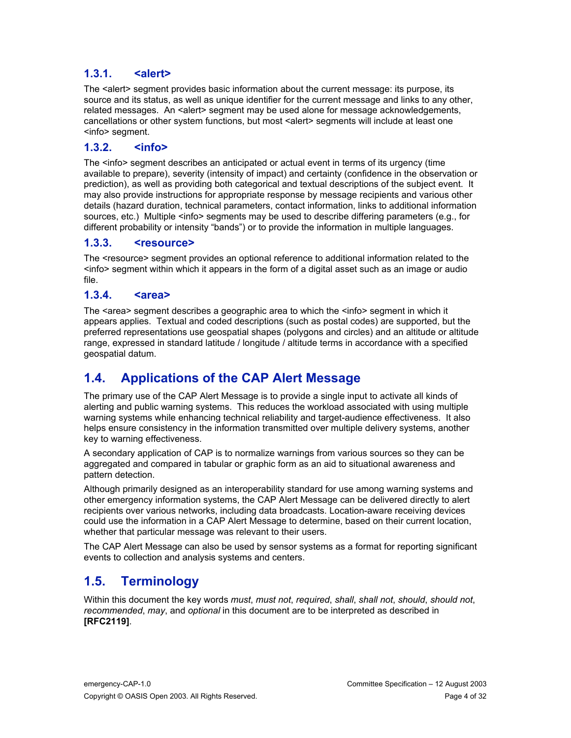#### **1.3.1. <alert>**

The <alert> segment provides basic information about the current message: its purpose, its source and its status, as well as unique identifier for the current message and links to any other, related messages. An <alert> segment may be used alone for message acknowledgements, cancellations or other system functions, but most <alert> segments will include at least one <info> segment.

#### **1.3.2. <info>**

The <info> segment describes an anticipated or actual event in terms of its urgency (time available to prepare), severity (intensity of impact) and certainty (confidence in the observation or prediction), as well as providing both categorical and textual descriptions of the subject event. It may also provide instructions for appropriate response by message recipients and various other details (hazard duration, technical parameters, contact information, links to additional information sources, etc.) Multiple <info> segments may be used to describe differing parameters (e.g., for different probability or intensity "bands") or to provide the information in multiple languages.

#### **1.3.3. <resource>**

The <resource> segment provides an optional reference to additional information related to the <info> segment within which it appears in the form of a digital asset such as an image or audio file.

#### **1.3.4. <area>**

The <area> segment describes a geographic area to which the <info> segment in which it appears applies. Textual and coded descriptions (such as postal codes) are supported, but the preferred representations use geospatial shapes (polygons and circles) and an altitude or altitude range, expressed in standard latitude / longitude / altitude terms in accordance with a specified geospatial datum.

## **1.4. Applications of the CAP Alert Message**

The primary use of the CAP Alert Message is to provide a single input to activate all kinds of alerting and public warning systems. This reduces the workload associated with using multiple warning systems while enhancing technical reliability and target-audience effectiveness. It also helps ensure consistency in the information transmitted over multiple delivery systems, another key to warning effectiveness.

A secondary application of CAP is to normalize warnings from various sources so they can be aggregated and compared in tabular or graphic form as an aid to situational awareness and pattern detection.

Although primarily designed as an interoperability standard for use among warning systems and other emergency information systems, the CAP Alert Message can be delivered directly to alert recipients over various networks, including data broadcasts. Location-aware receiving devices could use the information in a CAP Alert Message to determine, based on their current location, whether that particular message was relevant to their users.

The CAP Alert Message can also be used by sensor systems as a format for reporting significant events to collection and analysis systems and centers.

## **1.5. Terminology**

Within this document the key words *must*, *must not*, *required*, *shall*, *shall not*, *should*, *should not*, *recommended*, *may*, and *optional* in this document are to be interpreted as described in **[RFC2119]**.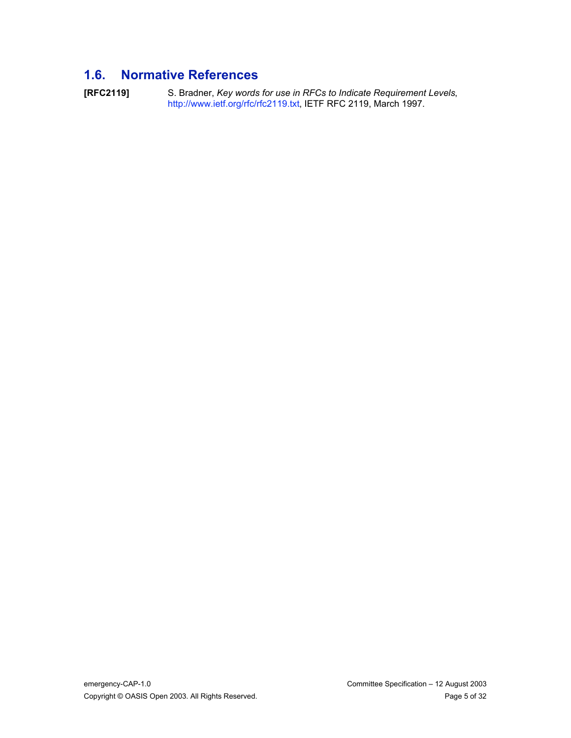# **1.6. Normative References**

**[RFC2119]** S. Bradner, *Key words for use in RFCs to Indicate Requirement Levels*, http://www.ietf.org/rfc/rfc2119.txt, IETF RFC 2119, March 1997.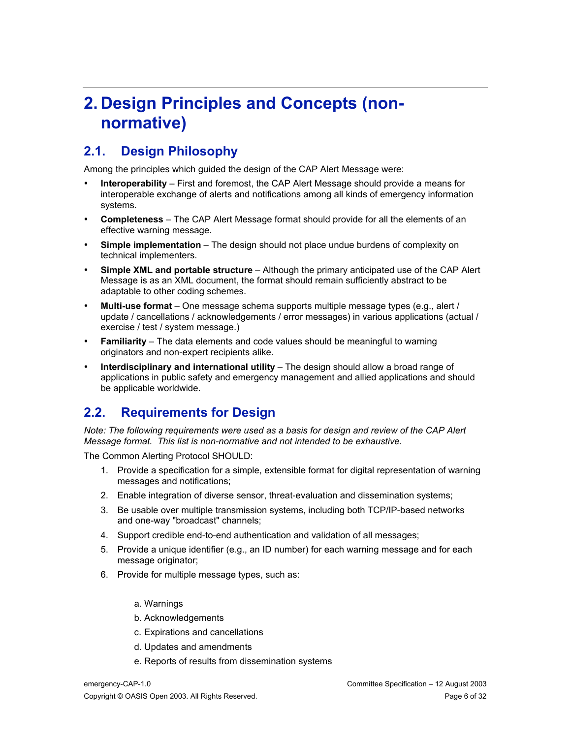# **2. Design Principles and Concepts (nonnormative)**

#### **2.1. Design Philosophy**

Among the principles which guided the design of the CAP Alert Message were:

**Interoperability** – First and foremost, the CAP Alert Message should provide a means for interoperable exchange of alerts and notifications among all kinds of emergency information systems.

**Completeness** – The CAP Alert Message format should provide for all the elements of an effective warning message.

**Simple implementation** – The design should not place undue burdens of complexity on technical implementers.

**Simple XML and portable structure** – Although the primary anticipated use of the CAP Alert Message is as an XML document, the format should remain sufficiently abstract to be adaptable to other coding schemes.

**Multi-use format** – One message schema supports multiple message types (e.g., alert / update / cancellations / acknowledgements / error messages) in various applications (actual / exercise / test / system message.)

**Familiarity** – The data elements and code values should be meaningful to warning originators and non-expert recipients alike.

**Interdisciplinary and international utility** – The design should allow a broad range of applications in public safety and emergency management and allied applications and should be applicable worldwide.

## **2.2. Requirements for Design**

*Note: The following requirements were used as a basis for design and review of the CAP Alert Message format. This list is non-normative and not intended to be exhaustive.*

The Common Alerting Protocol SHOULD:

- 1. Provide a specification for a simple, extensible format for digital representation of warning messages and notifications;
- 2. Enable integration of diverse sensor, threat-evaluation and dissemination systems;
- 3. Be usable over multiple transmission systems, including both TCP/IP-based networks and one-way "broadcast" channels;
- 4. Support credible end-to-end authentication and validation of all messages;
- 5. Provide a unique identifier (e.g., an ID number) for each warning message and for each message originator;
- 6. Provide for multiple message types, such as:
	- a. Warnings
	- b. Acknowledgements
	- c. Expirations and cancellations
	- d. Updates and amendments
	- e. Reports of results from dissemination systems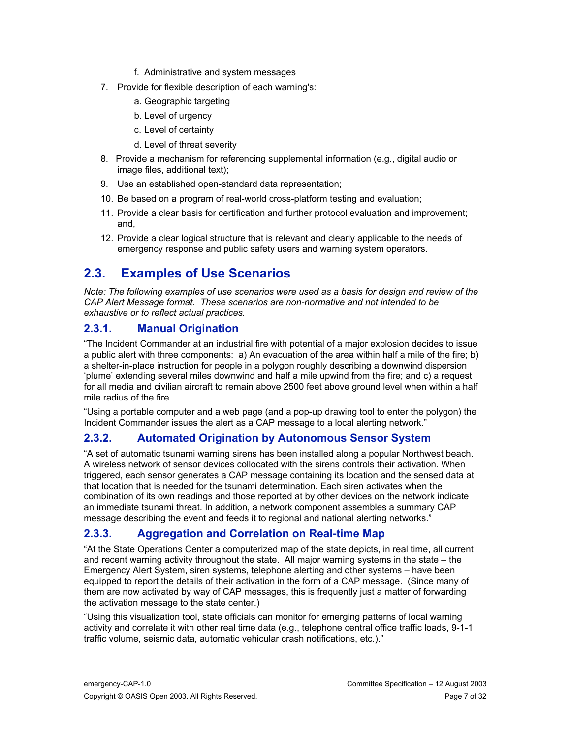- f. Administrative and system messages
- 7. Provide for flexible description of each warning's:
	- a. Geographic targeting
	- b. Level of urgency
	- c. Level of certainty
	- d. Level of threat severity
- 8. Provide a mechanism for referencing supplemental information (e.g., digital audio or image files, additional text);
- 9. Use an established open-standard data representation;
- 10. Be based on a program of real-world cross-platform testing and evaluation;
- 11. Provide a clear basis for certification and further protocol evaluation and improvement; and,
- 12. Provide a clear logical structure that is relevant and clearly applicable to the needs of emergency response and public safety users and warning system operators.

## **2.3. Examples of Use Scenarios**

*Note: The following examples of use scenarios were used as a basis for design and review of the CAP Alert Message format. These scenarios are non-normative and not intended to be exhaustive or to reflect actual practices.*

#### **2.3.1. Manual Origination**

"The Incident Commander at an industrial fire with potential of a major explosion decides to issue a public alert with three components: a) An evacuation of the area within half a mile of the fire; b) a shelter-in-place instruction for people in a polygon roughly describing a downwind dispersion 'plume' extending several miles downwind and half a mile upwind from the fire; and c) a request for all media and civilian aircraft to remain above 2500 feet above ground level when within a half mile radius of the fire.

"Using a portable computer and a web page (and a pop-up drawing tool to enter the polygon) the Incident Commander issues the alert as a CAP message to a local alerting network."

#### **2.3.2. Automated Origination by Autonomous Sensor System**

"A set of automatic tsunami warning sirens has been installed along a popular Northwest beach. A wireless network of sensor devices collocated with the sirens controls their activation. When triggered, each sensor generates a CAP message containing its location and the sensed data at that location that is needed for the tsunami determination. Each siren activates when the combination of its own readings and those reported at by other devices on the network indicate an immediate tsunami threat. In addition, a network component assembles a summary CAP message describing the event and feeds it to regional and national alerting networks."

#### **2.3.3. Aggregation and Correlation on Real-time Map**

"At the State Operations Center a computerized map of the state depicts, in real time, all current and recent warning activity throughout the state. All major warning systems in the state – the Emergency Alert System, siren systems, telephone alerting and other systems – have been equipped to report the details of their activation in the form of a CAP message. (Since many of them are now activated by way of CAP messages, this is frequently just a matter of forwarding the activation message to the state center.)

"Using this visualization tool, state officials can monitor for emerging patterns of local warning activity and correlate it with other real time data (e.g., telephone central office traffic loads, 9-1-1 traffic volume, seismic data, automatic vehicular crash notifications, etc.)."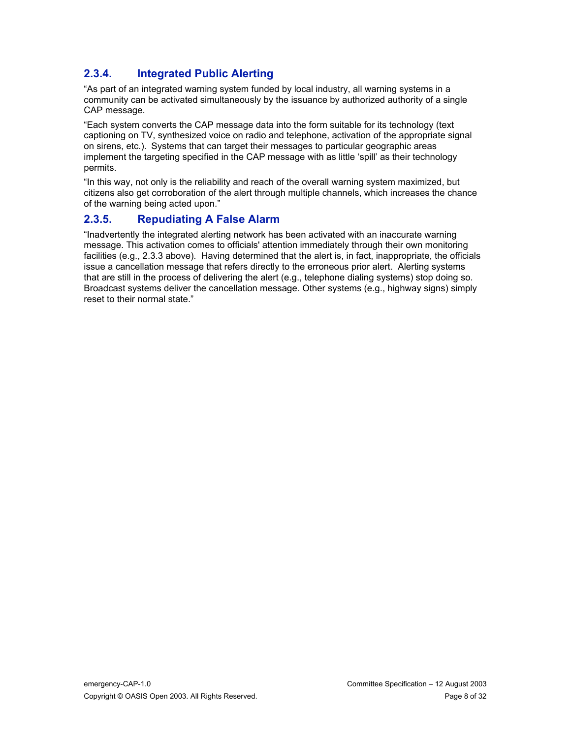#### **2.3.4. Integrated Public Alerting**

"As part of an integrated warning system funded by local industry, all warning systems in a community can be activated simultaneously by the issuance by authorized authority of a single CAP message.

"Each system converts the CAP message data into the form suitable for its technology (text captioning on TV, synthesized voice on radio and telephone, activation of the appropriate signal on sirens, etc.). Systems that can target their messages to particular geographic areas implement the targeting specified in the CAP message with as little 'spill' as their technology permits.

"In this way, not only is the reliability and reach of the overall warning system maximized, but citizens also get corroboration of the alert through multiple channels, which increases the chance of the warning being acted upon."

#### **2.3.5. Repudiating A False Alarm**

"Inadvertently the integrated alerting network has been activated with an inaccurate warning message. This activation comes to officials' attention immediately through their own monitoring facilities (e.g., 2.3.3 above). Having determined that the alert is, in fact, inappropriate, the officials issue a cancellation message that refers directly to the erroneous prior alert. Alerting systems that are still in the process of delivering the alert (e.g., telephone dialing systems) stop doing so. Broadcast systems deliver the cancellation message. Other systems (e.g., highway signs) simply reset to their normal state."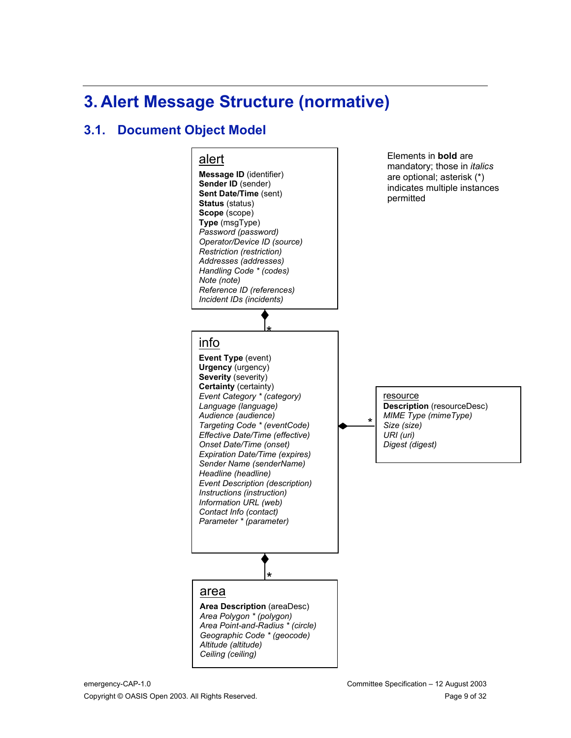# **3. Alert Message Structure (normative)**

## **3.1. Document Object Model**

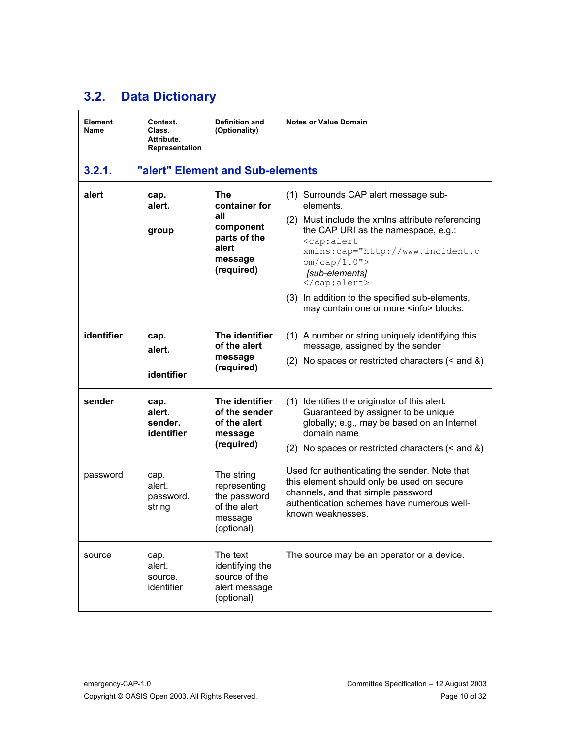# **3.2. Data Dictionary**

| Element<br>Name | Context.<br>Class.<br>Attribute.<br>Representation | <b>Definition and</b><br>(Optionality)                                                     | <b>Notes or Value Domain</b>                                                                                                                                                                                                                                                                                                                               |
|-----------------|----------------------------------------------------|--------------------------------------------------------------------------------------------|------------------------------------------------------------------------------------------------------------------------------------------------------------------------------------------------------------------------------------------------------------------------------------------------------------------------------------------------------------|
| 3.2.1.          |                                                    | "alert" Element and Sub-elements                                                           |                                                                                                                                                                                                                                                                                                                                                            |
| alert           | cap.<br>alert.<br>group                            | The<br>container for<br>all<br>component<br>parts of the<br>alert<br>message<br>(required) | (1) Surrounds CAP alert message sub-<br>elements.<br>(2) Must include the xmlns attribute referencing<br>the CAP URI as the namespace, e.g.:<br><cap:alert<br>xmlns:cap="http://www.incident.c<br/>om/cap/1.0"<br/>[sub-elements]<br/><br/>(3) In addition to the specified sub-elements,<br/>may contain one or more <info> blocks.</info></cap:alert<br> |
| identifier      | cap.<br>alert.<br>identifier                       | The identifier<br>of the alert<br>message<br>(required)                                    | (1) A number or string uniquely identifying this<br>message, assigned by the sender<br>(2) No spaces or restricted characters $($ and $\&$ )                                                                                                                                                                                                               |
| sender          | cap.<br>alert.<br>sender.<br>identifier            | The identifier<br>of the sender<br>of the alert<br>message<br>(required)                   | (1) Identifies the originator of this alert.<br>Guaranteed by assigner to be unique<br>globally; e.g., may be based on an Internet<br>domain name<br>(2) No spaces or restricted characters $($ and $\&$ )                                                                                                                                                 |
| password        | cap.<br>alert.<br>password.<br>string              | The string<br>representing<br>the password<br>of the alert<br>message<br>(optional)        | Used for authenticating the sender. Note that<br>this element should only be used on secure<br>channels, and that simple password<br>authentication schemes have numerous well-<br>known weaknesses.                                                                                                                                                       |
| source          | cap.<br>alert.<br>source.<br>identifier            | The text<br>identifying the<br>source of the<br>alert message<br>(optional)                | The source may be an operator or a device.                                                                                                                                                                                                                                                                                                                 |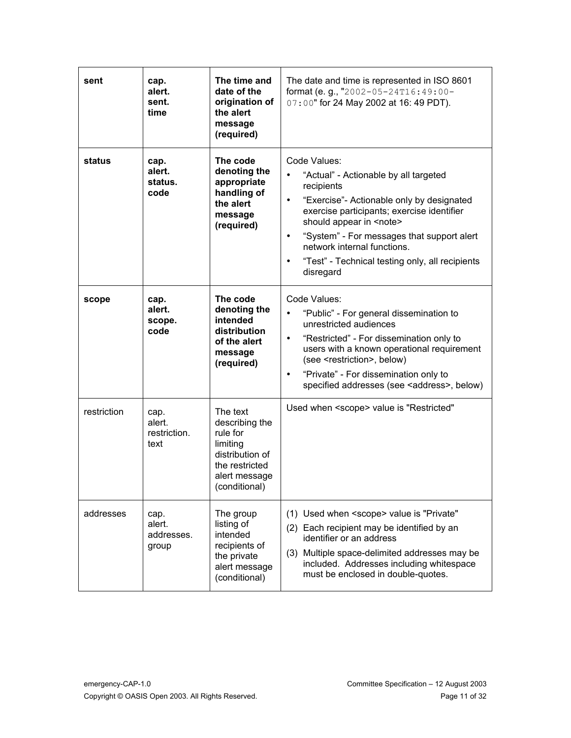| sent        | cap.<br>alert.<br>sent.<br>time        | The time and<br>date of the<br>origination of<br>the alert<br>message<br>(required)                                       | The date and time is represented in ISO 8601<br>format (e.g., "2002-05-24T16:49:00-<br>07:00" for 24 May 2002 at 16:49 PDT).                                                                                                                                                                                                                      |
|-------------|----------------------------------------|---------------------------------------------------------------------------------------------------------------------------|---------------------------------------------------------------------------------------------------------------------------------------------------------------------------------------------------------------------------------------------------------------------------------------------------------------------------------------------------|
| status      | cap.<br>alert.<br>status.<br>code      | The code<br>denoting the<br>appropriate<br>handling of<br>the alert<br>message<br>(required)                              | Code Values:<br>"Actual" - Actionable by all targeted<br>recipients<br>"Exercise"- Actionable only by designated<br>exercise participants; exercise identifier<br>should appear in <note><br/>"System" - For messages that support alert<br/>network internal functions.<br/>"Test" - Technical testing only, all recipients<br/>disregard</note> |
| scope       | cap.<br>alert.<br>scope.<br>code       | The code<br>denoting the<br>intended<br>distribution<br>of the alert<br>message<br>(required)                             | Code Values:<br>"Public" - For general dissemination to<br>unrestricted audiences<br>"Restricted" - For dissemination only to<br>users with a known operational requirement<br>(see <restriction>, below)<br/>"Private" - For dissemination only to<br/>specified addresses (see <address>, below)</address></restriction>                        |
| restriction | cap.<br>alert.<br>restriction.<br>text | The text<br>describing the<br>rule for<br>limiting<br>distribution of<br>the restricted<br>alert message<br>(conditional) | Used when <scope> value is "Restricted"</scope>                                                                                                                                                                                                                                                                                                   |
| addresses   | cap.<br>alert.<br>addresses.<br>group  | The group<br>listing of<br>intended<br>recipients of<br>the private<br>alert message<br>(conditional)                     | (1) Used when <scope> value is "Private"<br/>(2) Each recipient may be identified by an<br/>identifier or an address<br/>(3) Multiple space-delimited addresses may be<br/>included. Addresses including whitespace<br/>must be enclosed in double-quotes.</scope>                                                                                |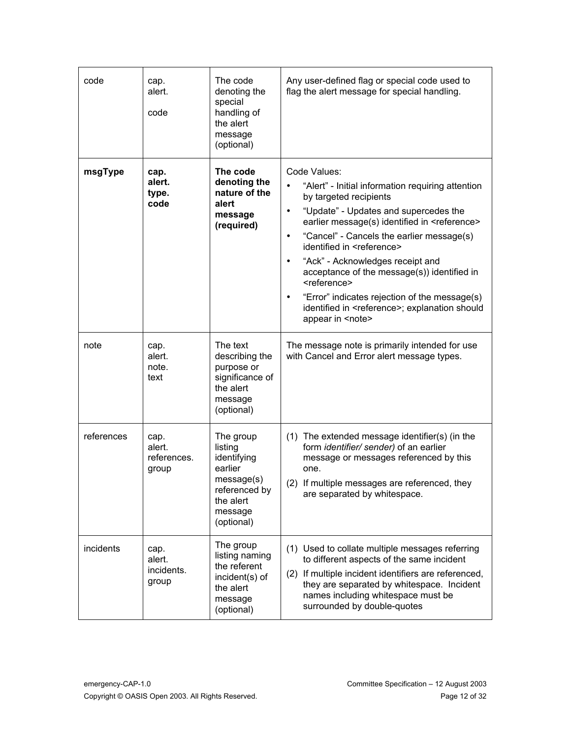| code       | cap.<br>alert.<br>code                 | The code<br>denoting the<br>special<br>handling of<br>the alert<br>message<br>(optional)                            | Any user-defined flag or special code used to<br>flag the alert message for special handling.                                                                                                                                                                                                                                                                                                                                                                                                                                                         |
|------------|----------------------------------------|---------------------------------------------------------------------------------------------------------------------|-------------------------------------------------------------------------------------------------------------------------------------------------------------------------------------------------------------------------------------------------------------------------------------------------------------------------------------------------------------------------------------------------------------------------------------------------------------------------------------------------------------------------------------------------------|
| msgType    | cap.<br>alert.<br>type.<br>code        | The code<br>denoting the<br>nature of the<br>alert<br>message<br>(required)                                         | Code Values:<br>"Alert" - Initial information requiring attention<br>by targeted recipients<br>"Update" - Updates and supercedes the<br>earlier message(s) identified in <reference><br/>"Cancel" - Cancels the earlier message(s)<br/>identified in <reference><br/>"Ack" - Acknowledges receipt and<br/>acceptance of the message(s)) identified in<br/><reference><br/>"Error" indicates rejection of the message(s)<br/>identified in <reference>; explanation should<br/>appear in <note></note></reference></reference></reference></reference> |
| note       | cap.<br>alert.<br>note.<br>text        | The text<br>describing the<br>purpose or<br>significance of<br>the alert<br>message<br>(optional)                   | The message note is primarily intended for use<br>with Cancel and Error alert message types.                                                                                                                                                                                                                                                                                                                                                                                                                                                          |
| references | cap.<br>alert.<br>references.<br>group | The group<br>listing<br>identifying<br>earlier<br>message(s)<br>referenced by<br>the alert<br>message<br>(optional) | (1) The extended message identifier(s) (in the<br>form identifier/ sender) of an earlier<br>message or messages referenced by this<br>one.<br>(2) If multiple messages are referenced, they<br>are separated by whitespace.                                                                                                                                                                                                                                                                                                                           |
| incidents  | cap.<br>alert.<br>incidents.<br>group  | The group<br>listing naming<br>the referent<br>incident(s) of<br>the alert<br>message<br>(optional)                 | (1) Used to collate multiple messages referring<br>to different aspects of the same incident<br>(2) If multiple incident identifiers are referenced,<br>they are separated by whitespace. Incident<br>names including whitespace must be<br>surrounded by double-quotes                                                                                                                                                                                                                                                                               |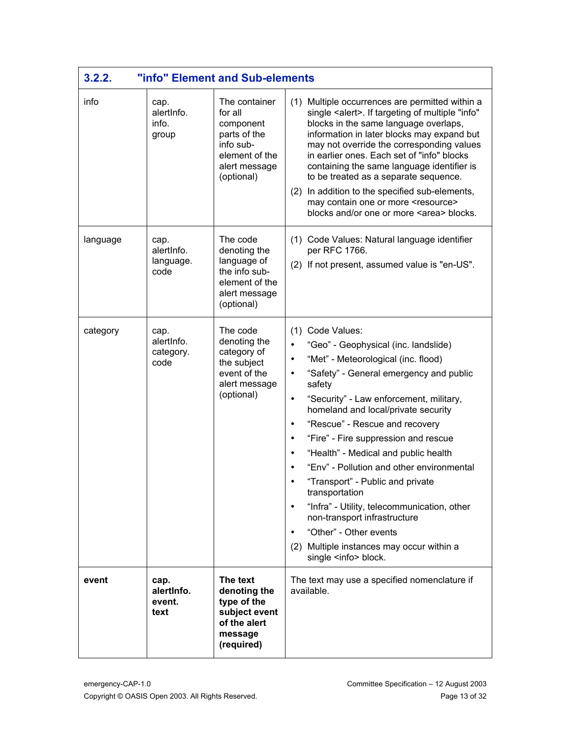| 3.2.2.   |                                         | "info" Element and Sub-elements                                                                                     |                                                                                                                                                                                                                                                                                                                                                                                                                                                                                                                                                                                                                                                  |
|----------|-----------------------------------------|---------------------------------------------------------------------------------------------------------------------|--------------------------------------------------------------------------------------------------------------------------------------------------------------------------------------------------------------------------------------------------------------------------------------------------------------------------------------------------------------------------------------------------------------------------------------------------------------------------------------------------------------------------------------------------------------------------------------------------------------------------------------------------|
| info     | cap.<br>alertinfo.<br>info.<br>group    | The container<br>for all<br>component<br>parts of the<br>info sub-<br>element of the<br>alert message<br>(optional) | (1) Multiple occurrences are permitted within a<br>single <alert>. If targeting of multiple "info"<br/>blocks in the same language overlaps,<br/>information in later blocks may expand but<br/>may not override the corresponding values<br/>in earlier ones. Each set of "info" blocks<br/>containing the same language identifier is<br/>to be treated as a separate sequence.<br/>(2) In addition to the specified sub-elements,<br/>may contain one or more <resource><br/>blocks and/or one or more <area/> blocks.</resource></alert>                                                                                                     |
| language | cap.<br>alertInfo.<br>language.<br>code | The code<br>denoting the<br>language of<br>the info sub-<br>element of the<br>alert message<br>(optional)           | (1) Code Values: Natural language identifier<br>per RFC 1766.<br>(2) If not present, assumed value is "en-US".                                                                                                                                                                                                                                                                                                                                                                                                                                                                                                                                   |
| category | cap.<br>alertinfo.<br>category.<br>code | The code<br>denoting the<br>category of<br>the subject<br>event of the<br>alert message<br>(optional)               | (1) Code Values:<br>"Geo" - Geophysical (inc. landslide)<br>"Met" - Meteorological (inc. flood)<br>"Safety" - General emergency and public<br>safety<br>"Security" - Law enforcement, military,<br>homeland and local/private security<br>"Rescue" - Rescue and recovery<br>"Fire" - Fire suppression and rescue<br>"Health" - Medical and public health<br>"Env" - Pollution and other environmental<br>"Transport" - Public and private<br>transportation<br>"Infra" - Utility, telecommunication, other<br>non-transport infrastructure<br>"Other" - Other events<br>(2) Multiple instances may occur within a<br>single <info> block.</info> |
| event    | cap.<br>alertInfo.<br>event.<br>text    | The text<br>denoting the<br>type of the<br>subject event<br>of the alert<br>message<br>(required)                   | The text may use a specified nomenclature if<br>available.                                                                                                                                                                                                                                                                                                                                                                                                                                                                                                                                                                                       |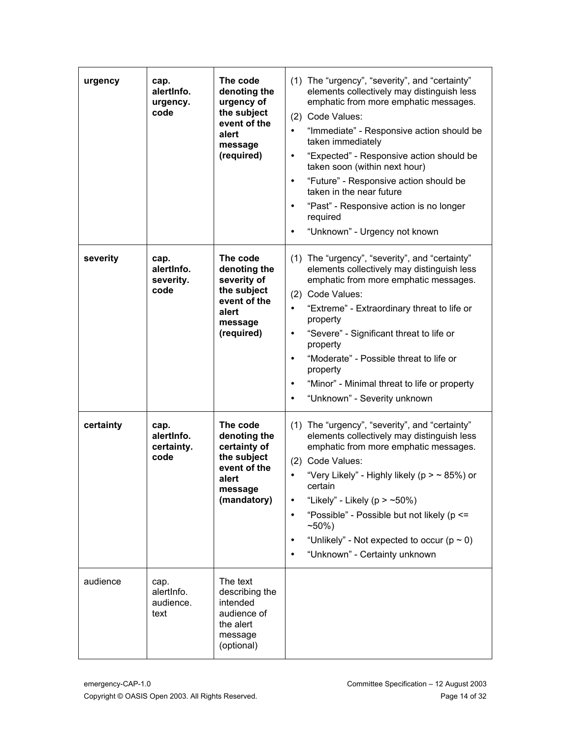| urgency   | cap.<br>alertinfo.<br>urgency.<br>code   | The code<br>denoting the<br>urgency of<br>the subject<br>event of the<br>alert<br>message<br>(required)    | (1) The "urgency", "severity", and "certainty"<br>elements collectively may distinguish less<br>emphatic from more emphatic messages.<br>(2) Code Values:<br>"Immediate" - Responsive action should be<br>taken immediately<br>"Expected" - Responsive action should be<br>taken soon (within next hour)<br>"Future" - Responsive action should be<br>taken in the near future<br>"Past" - Responsive action is no longer<br>required<br>"Unknown" - Urgency not known |
|-----------|------------------------------------------|------------------------------------------------------------------------------------------------------------|------------------------------------------------------------------------------------------------------------------------------------------------------------------------------------------------------------------------------------------------------------------------------------------------------------------------------------------------------------------------------------------------------------------------------------------------------------------------|
| severity  | cap.<br>alertinfo.<br>severity.<br>code  | The code<br>denoting the<br>severity of<br>the subject<br>event of the<br>alert<br>message<br>(required)   | (1) The "urgency", "severity", and "certainty"<br>elements collectively may distinguish less<br>emphatic from more emphatic messages.<br>(2) Code Values:<br>"Extreme" - Extraordinary threat to life or<br>property<br>"Severe" - Significant threat to life or<br>property<br>"Moderate" - Possible threat to life or<br>property<br>"Minor" - Minimal threat to life or property<br>"Unknown" - Severity unknown                                                    |
| certainty | cap.<br>alertinfo.<br>certainty.<br>code | The code<br>denoting the<br>certainty of<br>the subject<br>event of the<br>alert<br>message<br>(mandatory) | (1) The "urgency", "severity", and "certainty"<br>elements collectively may distinguish less<br>emphatic from more emphatic messages.<br>(2) Code Values:<br>"Very Likely" - Highly likely ( $p > \sim 85\%$ ) or<br>certain<br>"Likely" - Likely ( $p > -50\%$ )<br>"Possible" - Possible but not likely (p <=<br>$~10\%$<br>"Unlikely" - Not expected to occur ( $p \sim 0$ )<br>"Unknown" - Certainty unknown                                                       |
| audience  | cap.<br>alertInfo.<br>audience.<br>text  | The text<br>describing the<br>intended<br>audience of<br>the alert<br>message<br>(optional)                |                                                                                                                                                                                                                                                                                                                                                                                                                                                                        |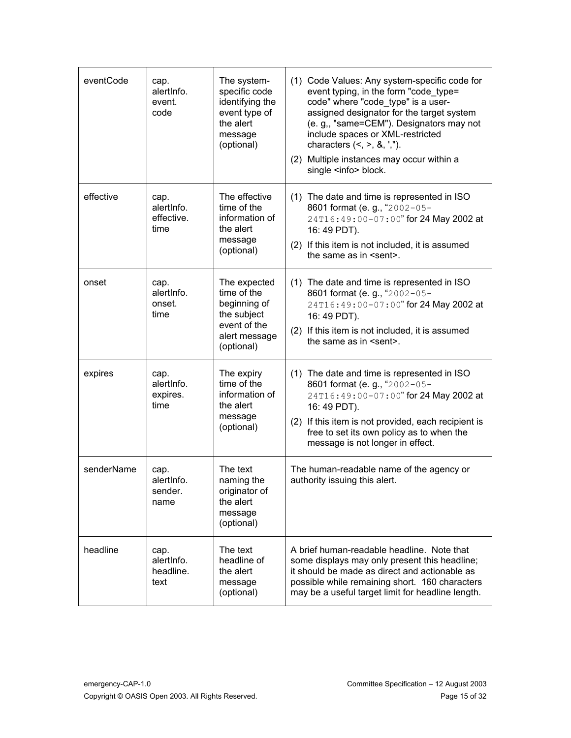| eventCode  | cap.<br>alertInfo.<br>event.<br>code     | The system-<br>specific code<br>identifying the<br>event type of<br>the alert<br>message<br>(optional)    | (1) Code Values: Any system-specific code for<br>event typing, in the form "code_type=<br>code" where "code type" is a user-<br>assigned designator for the target system<br>(e. g,, "same=CEM"). Designators may not<br>include spaces or XML-restricted<br>characters $(<, >, 8, ',")$ .<br>(2) Multiple instances may occur within a<br>single <info> block.</info> |
|------------|------------------------------------------|-----------------------------------------------------------------------------------------------------------|------------------------------------------------------------------------------------------------------------------------------------------------------------------------------------------------------------------------------------------------------------------------------------------------------------------------------------------------------------------------|
| effective  | cap.<br>alertinfo.<br>effective.<br>time | The effective<br>time of the<br>information of<br>the alert<br>message<br>(optional)                      | (1) The date and time is represented in ISO<br>8601 format (e. g., "2002-05-<br>24T16:49:00-07:00" for 24 May 2002 at<br>16: 49 PDT).<br>(2) If this item is not included, it is assumed<br>the same as in <sent>.</sent>                                                                                                                                              |
| onset      | cap.<br>alertInfo.<br>onset.<br>time     | The expected<br>time of the<br>beginning of<br>the subject<br>event of the<br>alert message<br>(optional) | (1) The date and time is represented in ISO<br>8601 format (e. g., "2002-05-<br>24T16:49:00-07:00" for 24 May 2002 at<br>16: 49 PDT).<br>(2) If this item is not included, it is assumed<br>the same as in <sent>.</sent>                                                                                                                                              |
| expires    | cap.<br>alertInfo.<br>expires.<br>time   | The expiry<br>time of the<br>information of<br>the alert<br>message<br>(optional)                         | (1) The date and time is represented in ISO<br>8601 format (e. g., "2002-05-<br>24T16:49:00-07:00" for 24 May 2002 at<br>16: 49 PDT).<br>(2) If this item is not provided, each recipient is<br>free to set its own policy as to when the<br>message is not longer in effect.                                                                                          |
| senderName | cap.<br>alertInfo.<br>sender.<br>name    | The text<br>naming the<br>originator of<br>the alert<br>message<br>(optional)                             | The human-readable name of the agency or<br>authority issuing this alert.                                                                                                                                                                                                                                                                                              |
| headline   | cap.<br>alertInfo.<br>headline.<br>text  | The text<br>headline of<br>the alert<br>message<br>(optional)                                             | A brief human-readable headline. Note that<br>some displays may only present this headline;<br>it should be made as direct and actionable as<br>possible while remaining short. 160 characters<br>may be a useful target limit for headline length.                                                                                                                    |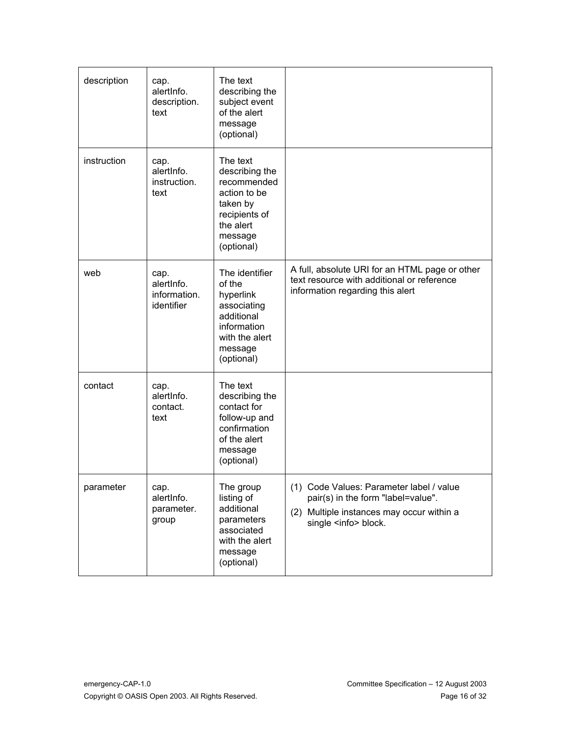| description | cap.<br>alertInfo.<br>description.<br>text       | The text<br>describing the<br>subject event<br>of the alert<br>message<br>(optional)                                         |                                                                                                                                                            |
|-------------|--------------------------------------------------|------------------------------------------------------------------------------------------------------------------------------|------------------------------------------------------------------------------------------------------------------------------------------------------------|
| instruction | cap.<br>alertInfo.<br>instruction.<br>text       | The text<br>describing the<br>recommended<br>action to be<br>taken by<br>recipients of<br>the alert<br>message<br>(optional) |                                                                                                                                                            |
| web         | cap.<br>alertinfo.<br>information.<br>identifier | The identifier<br>of the<br>hyperlink<br>associating<br>additional<br>information<br>with the alert<br>message<br>(optional) | A full, absolute URI for an HTML page or other<br>text resource with additional or reference<br>information regarding this alert                           |
| contact     | cap.<br>alertInfo.<br>contact.<br>text           | The text<br>describing the<br>contact for<br>follow-up and<br>confirmation<br>of the alert<br>message<br>(optional)          |                                                                                                                                                            |
| parameter   | cap.<br>alertInfo.<br>parameter.<br>group        | The group<br>listing of<br>additional<br>parameters<br>associated<br>with the alert<br>message<br>(optional)                 | (1) Code Values: Parameter label / value<br>pair(s) in the form "label=value".<br>(2) Multiple instances may occur within a<br>single <info> block.</info> |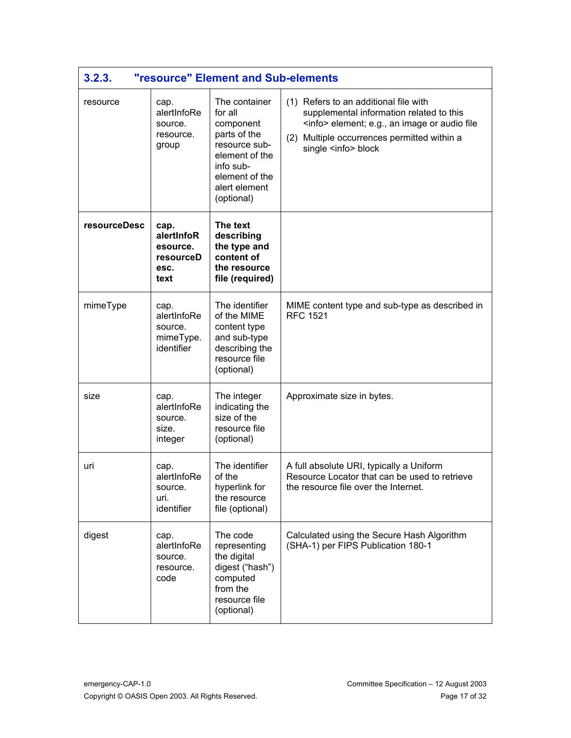| 3.2.3.              |                                                             | <b>"resource" Element and Sub-elements</b>                                                                                                             |                                                                                                                                                                                                                         |
|---------------------|-------------------------------------------------------------|--------------------------------------------------------------------------------------------------------------------------------------------------------|-------------------------------------------------------------------------------------------------------------------------------------------------------------------------------------------------------------------------|
| resource            | cap.<br>alertInfoRe<br>source.<br>resource.<br>group        | The container<br>for all<br>component<br>parts of the<br>resource sub-<br>element of the<br>info sub-<br>element of the<br>alert element<br>(optional) | (1) Refers to an additional file with<br>supplemental information related to this<br><info> element; e.g., an image or audio file<br/>(2) Multiple occurrences permitted within a<br/>single <info> block</info></info> |
| <b>resourceDesc</b> | cap.<br>alertInfoR<br>esource.<br>resourceD<br>esc.<br>text | The text<br>describing<br>the type and<br>content of<br>the resource<br>file (required)                                                                |                                                                                                                                                                                                                         |
| mimeType            | cap.<br>alertInfoRe<br>source.<br>mimeType.<br>identifier   | The identifier<br>of the MIME<br>content type<br>and sub-type<br>describing the<br>resource file<br>(optional)                                         | MIME content type and sub-type as described in<br><b>RFC 1521</b>                                                                                                                                                       |
| size                | cap.<br>alertInfoRe<br>source.<br>size.<br>integer          | The integer<br>indicating the<br>size of the<br>resource file<br>(optional)                                                                            | Approximate size in bytes.                                                                                                                                                                                              |
| uri                 | cap.<br>alertInfoRe<br>source.<br>uri.<br>identifier        | The identifier<br>of the<br>hyperlink for<br>the resource<br>file (optional)                                                                           | A full absolute URI, typically a Uniform<br>Resource Locator that can be used to retrieve<br>the resource file over the Internet.                                                                                       |
| digest              | cap.<br>alertInfoRe<br>source.<br>resource.<br>code         | The code<br>representing<br>the digital<br>digest ("hash")<br>computed<br>from the<br>resource file<br>(optional)                                      | Calculated using the Secure Hash Algorithm<br>(SHA-1) per FIPS Publication 180-1                                                                                                                                        |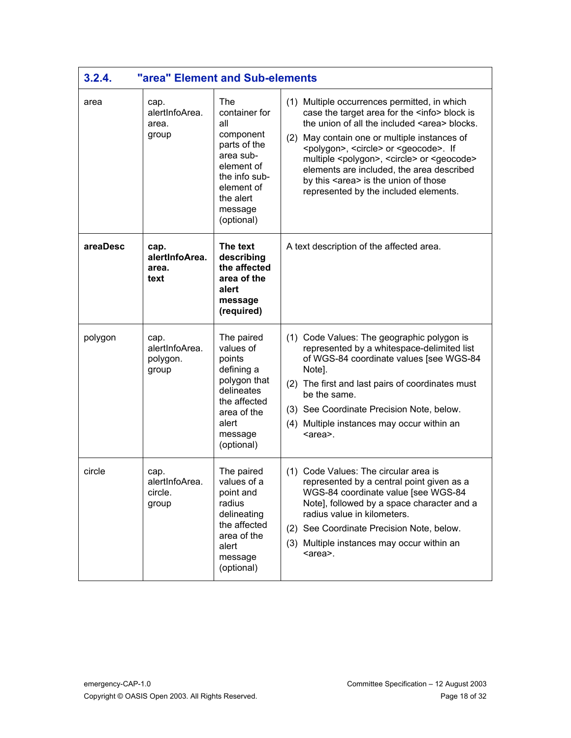| 3.2.4.   | "area" Element and Sub-elements             |                                                                                                                                                          |                                                                                                                                                                                                                                                                                                                                                                                                                                                                                           |
|----------|---------------------------------------------|----------------------------------------------------------------------------------------------------------------------------------------------------------|-------------------------------------------------------------------------------------------------------------------------------------------------------------------------------------------------------------------------------------------------------------------------------------------------------------------------------------------------------------------------------------------------------------------------------------------------------------------------------------------|
| area     | cap.<br>alertInfoArea.<br>area.<br>group    | The<br>container for<br>all<br>component<br>parts of the<br>area sub-<br>element of<br>the info sub-<br>element of<br>the alert<br>message<br>(optional) | (1) Multiple occurrences permitted, in which<br>case the target area for the <info> block is<br/>the union of all the included <area/> blocks.<br/>(2) May contain one or multiple instances of<br/><polygon>, <circle> or <geocode>. If<br/>multiple <polygon>, <circle> or <geocode><br/>elements are included, the area described<br/>by this <area/> is the union of those<br/>represented by the included elements.</geocode></circle></polygon></geocode></circle></polygon></info> |
| areaDesc | cap.<br>alertInfoArea.<br>area.<br>text     | The text<br>describing<br>the affected<br>area of the<br>alert<br>message<br>(required)                                                                  | A text description of the affected area.                                                                                                                                                                                                                                                                                                                                                                                                                                                  |
| polygon  | cap.<br>alertInfoArea.<br>polygon.<br>group | The paired<br>values of<br>points<br>defining a<br>polygon that<br>delineates<br>the affected<br>area of the<br>alert<br>message<br>(optional)           | (1) Code Values: The geographic polygon is<br>represented by a whitespace-delimited list<br>of WGS-84 coordinate values [see WGS-84<br>Note].<br>(2) The first and last pairs of coordinates must<br>be the same.<br>(3) See Coordinate Precision Note, below.<br>(4) Multiple instances may occur within an<br><area/> .                                                                                                                                                                 |
| circle   | cap.<br>alertInfoArea.<br>circle.<br>group  | The paired<br>values of a<br>point and<br>radius<br>delineating<br>the affected<br>area of the<br>alert<br>message<br>(optional)                         | (1) Code Values: The circular area is<br>represented by a central point given as a<br>WGS-84 coordinate value [see WGS-84<br>Note], followed by a space character and a<br>radius value in kilometers.<br>(2) See Coordinate Precision Note, below.<br>(3) Multiple instances may occur within an<br><area/> .                                                                                                                                                                            |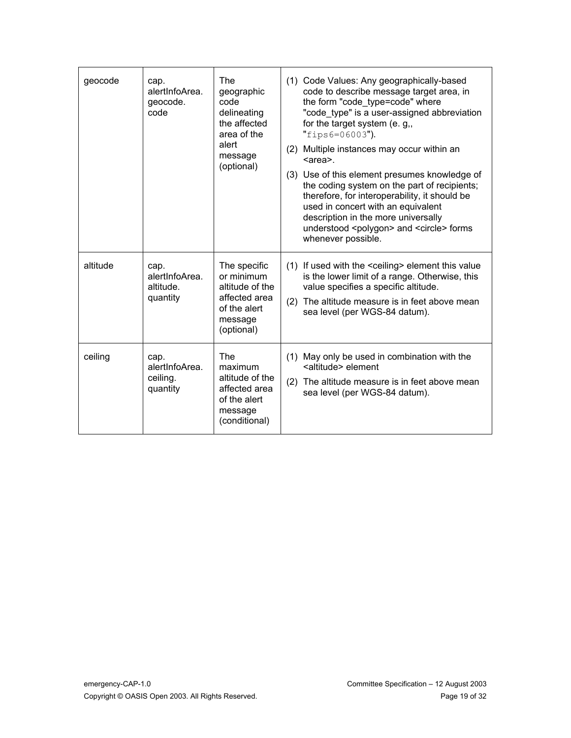| geocode  | cap.<br>alertInfoArea.<br>geocode.<br>code      | The<br>geographic<br>code<br>delineating<br>the affected<br>area of the<br>alert<br>message<br>(optional) | (1) Code Values: Any geographically-based<br>code to describe message target area, in<br>the form "code type=code" where<br>"code_type" is a user-assigned abbreviation<br>for the target system (e. g,,<br>"fips6=06003").<br>(2) Multiple instances may occur within an<br><area/> .<br>(3) Use of this element presumes knowledge of<br>the coding system on the part of recipients;<br>therefore, for interoperability, it should be<br>used in concert with an equivalent<br>description in the more universally<br>understood <polygon> and <circle> forms<br/>whenever possible.</circle></polygon> |
|----------|-------------------------------------------------|-----------------------------------------------------------------------------------------------------------|------------------------------------------------------------------------------------------------------------------------------------------------------------------------------------------------------------------------------------------------------------------------------------------------------------------------------------------------------------------------------------------------------------------------------------------------------------------------------------------------------------------------------------------------------------------------------------------------------------|
| altitude | cap.<br>alertInfoArea.<br>altitude.<br>quantity | The specific<br>or minimum<br>altitude of the<br>affected area<br>of the alert<br>message<br>(optional)   | (1) If used with the <ceiling> element this value<br/>is the lower limit of a range. Otherwise, this<br/>value specifies a specific altitude.<br/>(2) The altitude measure is in feet above mean<br/>sea level (per WGS-84 datum).</ceiling>                                                                                                                                                                                                                                                                                                                                                               |
| ceiling  | cap.<br>alertInfoArea.<br>ceiling.<br>quantity  | The<br>maximum<br>altitude of the<br>affected area<br>of the alert<br>message<br>(conditional)            | (1) May only be used in combination with the<br><altitude> element<br/>(2) The altitude measure is in feet above mean<br/>sea level (per WGS-84 datum).</altitude>                                                                                                                                                                                                                                                                                                                                                                                                                                         |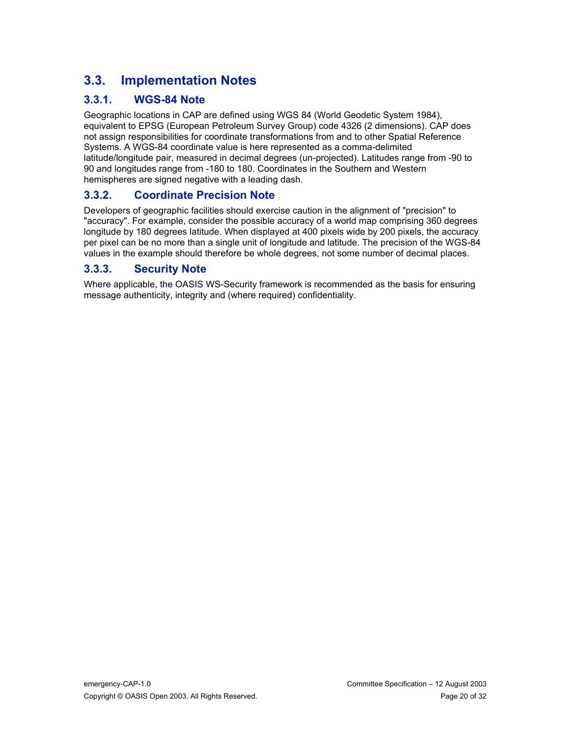# **3.3. Implementation Notes**

#### **3.3.1. WGS-84 Note**

Geographic locations in CAP are defined using WGS 84 (World Geodetic System 1984), equivalent to EPSG (European Petroleum Survey Group) code 4326 (2 dimensions). CAP does not assign responsibilities for coordinate transformations from and to other Spatial Reference Systems. A WGS-84 coordinate value is here represented as a comma-delimited latitude/longitude pair, measured in decimal degrees (un-projected). Latitudes range from -90 to 90 and longitudes range from -180 to 180. Coordinates in the Southern and Western hemispheres are signed negative with a leading dash.

#### **3.3.2. Coordinate Precision Note**

Developers of geographic facilities should exercise caution in the alignment of "precision" to "accuracy". For example, consider the possible accuracy of a world map comprising 360 degrees longitude by 180 degrees latitude. When displayed at 400 pixels wide by 200 pixels, the accuracy per pixel can be no more than a single unit of longitude and latitude. The precision of the WGS-84 values in the example should therefore be whole degrees, not some number of decimal places.

#### **3.3.3. Security Note**

Where applicable, the OASIS WS-Security framework is recommended as the basis for ensuring message authenticity, integrity and (where required) confidentiality.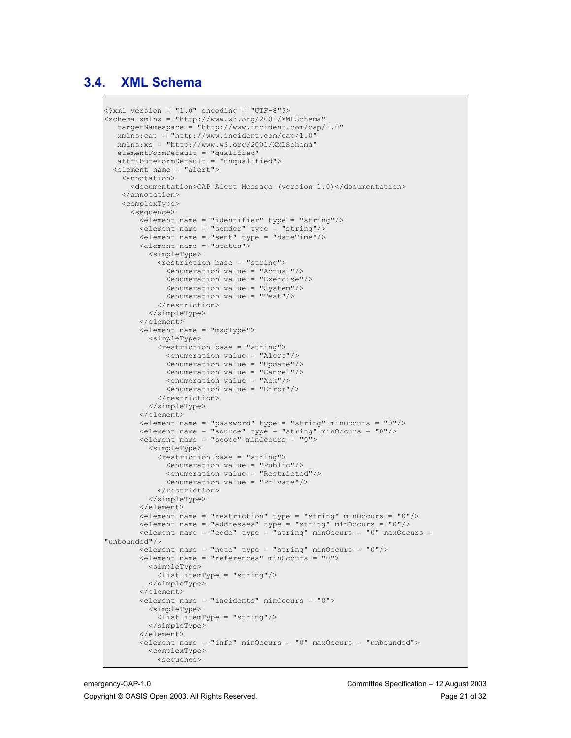#### **3.4. XML Schema**

```
\langle ?xm1 version = "1.0" encoding = "UTF-8"?>
<schema xmlns = "http://www.w3.org/2001/XMLSchema"
    targetNamespace = "http://www.incident.com/cap/1.0"
    xmlns:cap = "http://www.incident.com/cap/1.0"
    xmlns:xs = "http://www.w3.org/2001/XMLSchema"
    elementFormDefault = "qualified"
    attributeFormDefault = "unqualified">
   <element name = "alert">
     <annotation>
        <documentation>CAP Alert Message (version 1.0)</documentation>
     </annotation>
     <complexType>
        <sequence>
          <element name = "identifier" type = "string"/>
          <element name = "sender" type = "string"/>
          <element name = "sent" type = "dateTime"/>
          <element name = "status">
            <simpleType>
               <restriction base = "string">
                 <enumeration value = "Actual"/>
                 <enumeration value = "Exercise"/>
                 <enumeration value = "System"/>
                 <enumeration value = "Test"/>
               </restriction>
            </simpleType>
          </element>
          <element name = "msgType">
            <simpleType>
               <restriction base = "string">
                 <enumeration value = "Alert"/>
                 <enumeration value = "Update"/>
                 <enumeration value = "Cancel"/>
                 <enumeration value = "Ack"/>
                 <enumeration value = "Error"/>
               </restriction>
             </simpleType>
          </element>
         \epsilonelement name = "password" type = "string" minOccurs = "0"/>
         \leq = \frac{1}{\sqrt{2}} = \frac{1}{\sqrt{2}} = \frac{1}{\sqrt{2}} = \frac{1}{\sqrt{2}} = \frac{1}{\sqrt{2}} = \frac{1}{\sqrt{2}} = \frac{1}{\sqrt{2}} = \frac{1}{\sqrt{2}} = \frac{1}{\sqrt{2}} = \frac{1}{\sqrt{2}} = \frac{1}{\sqrt{2}} = \frac{1}{\sqrt{2}} = \frac{1}{\sqrt{2}} = \frac{1}{\sqrt{2}} = \frac <element name = "scope" minOccurs = "0">
            <simpleType>
               <restriction base = "string">
                 <enumeration value = "Public"/>
                 <enumeration value = "Restricted"/>
                 <enumeration value = "Private"/>
               </restriction>
            </simpleType>
          </element>
         \leq element name = "restriction" type = "string" minOccurs = "0"/>
         \leq element name = "addresses" type = "string" minOccurs = "0"/>
         \leq element name = "code" type = "string" minOccurs = "0" maxOccurs =
"unbounded"/>
         \leq element name = "note" type = "string" minOccurs = "0"/>
         \leqelement name = "references" minOccurs = "0">
            <simpleType>
               <list itemType = "string"/>
            </simpleType>
          </element>
         \leq element name = "incidents" minOccurs = "0">
            <simpleType>
               <list itemType = "string"/>
            </simpleType>
          </element>
         \leq element name = "info" minOccurs = "0" maxOccurs = "unbounded">
            <complexType>
               <sequence>
```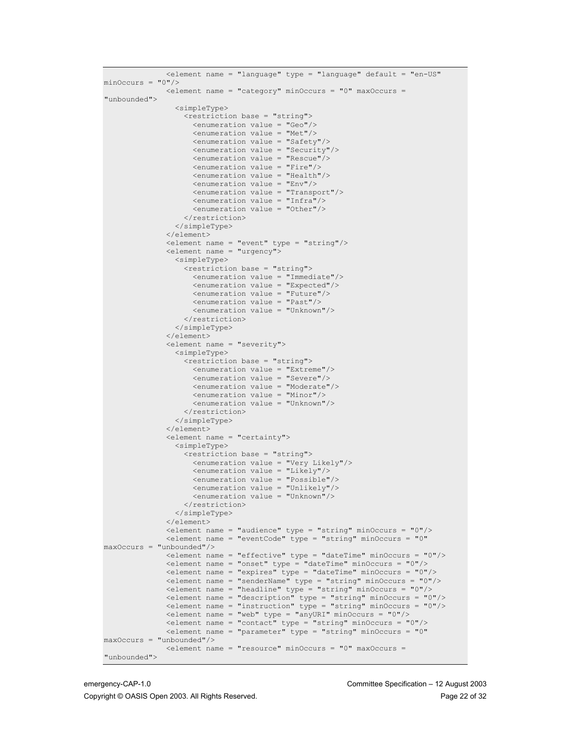| <element <="" default="en-US" name="language" th="" type="language"></element>                                                                                    |
|-------------------------------------------------------------------------------------------------------------------------------------------------------------------|
| $minOccurs = "0"$<br>$\leq$ element name = "category" minOccurs = "0" maxOccurs =                                                                                 |
| "unbounded">                                                                                                                                                      |
| <simpletype></simpletype>                                                                                                                                         |
| <restriction base="string"><br/><enumeration value="Geo"></enumeration></restriction>                                                                             |
| $\epsilon$ <enumeration value="Met"></enumeration>                                                                                                                |
| <enumeration value="Safety"></enumeration>                                                                                                                        |
| <enumeration value="Security"></enumeration>                                                                                                                      |
| <enumeration value="Rescue"></enumeration>                                                                                                                        |
| <enumeration value="Fire"></enumeration>                                                                                                                          |
| <enumeration value="Health"></enumeration><br>$\epsilon$ <enumeration value="Env"></enumeration>                                                                  |
| <enumeration value="Transport"></enumeration>                                                                                                                     |
| <enumeration value="Infra"></enumeration>                                                                                                                         |
| <enumeration value="Other"></enumeration>                                                                                                                         |
|                                                                                                                                                                   |
|                                                                                                                                                                   |
| <br><element name="event" type="string"></element>                                                                                                                |
| <element name="urgency"></element>                                                                                                                                |
| <simpletype></simpletype>                                                                                                                                         |
| <restriction base="string"></restriction>                                                                                                                         |
| <enumeration value="Immediate"></enumeration>                                                                                                                     |
| <enumeration value="Expected"></enumeration><br>$\epsilon$ <enumeration value="Future"></enumeration>                                                             |
| <enumeration value="Past"></enumeration>                                                                                                                          |
| <enumeration value="Unknown"></enumeration>                                                                                                                       |
|                                                                                                                                                                   |
|                                                                                                                                                                   |
| <br><element name="severity"></element>                                                                                                                           |
| <simpletype></simpletype>                                                                                                                                         |
| <restriction base="string"></restriction>                                                                                                                         |
| $\epsilon$ <enumeration value="Extreme"></enumeration>                                                                                                            |
| <enumeration value="Severe"></enumeration>                                                                                                                        |
| <enumeration value="Moderate"></enumeration><br><enumeration value="Minor"></enumeration>                                                                         |
| <enumeration value="Unknown"></enumeration>                                                                                                                       |
|                                                                                                                                                                   |
|                                                                                                                                                                   |
|                                                                                                                                                                   |
| <element name="certainty"><br/><simpletype></simpletype></element>                                                                                                |
| <restriction base="string"></restriction>                                                                                                                         |
| <enumeration value="Very Likely"></enumeration>                                                                                                                   |
| <enumeration value="Likely"></enumeration>                                                                                                                        |
| <enumeration value="Possible"></enumeration><br><enumeration value="Unlikely"></enumeration>                                                                      |
| <enumeration value="Unknown"></enumeration>                                                                                                                       |
|                                                                                                                                                                   |
|                                                                                                                                                                   |
| <br><element minoccurs="0" name="audience" type="string"></element>                                                                                               |
| <blement <="" minoccurs="0" name="eventCode" th="" type="string"></blement>                                                                                       |
| $maxOccurs = "unbounded"$                                                                                                                                         |
| $\epsilon$ lement name = "effective" type = "dateTime" minOccurs = "0"/>                                                                                          |
| <element <="" math="" minoccurs="&lt;math&gt;0" name="onset" type="dateTime">/&gt;<br/><element minoccurs="0" name="expires" type="dateTime"></element></element> |
| <element minoccurs="0" name="senderName" type="string"></element>                                                                                                 |
| $\epsilon$ lement name = "headline" type = "string" minOccurs = "0"/>                                                                                             |
| <element minoccurs="0" name="description" type="string"></element>                                                                                                |
| <element minoccurs="0" name="instruction" type="string"></element>                                                                                                |
| <element minoccurs="0" name="web" type="anyURI"></element><br><element minoccurs="0" name="contact" type="string"></element>                                      |
| <element <="" minoccurs="0" name="parameter" th="" type="string"></element>                                                                                       |
| $maxOccurs = "unbounded"$                                                                                                                                         |
| <element maxoccurs="&lt;br" minoccurs="0" name="resource">"unbounded"&gt;</element>                                                                               |
|                                                                                                                                                                   |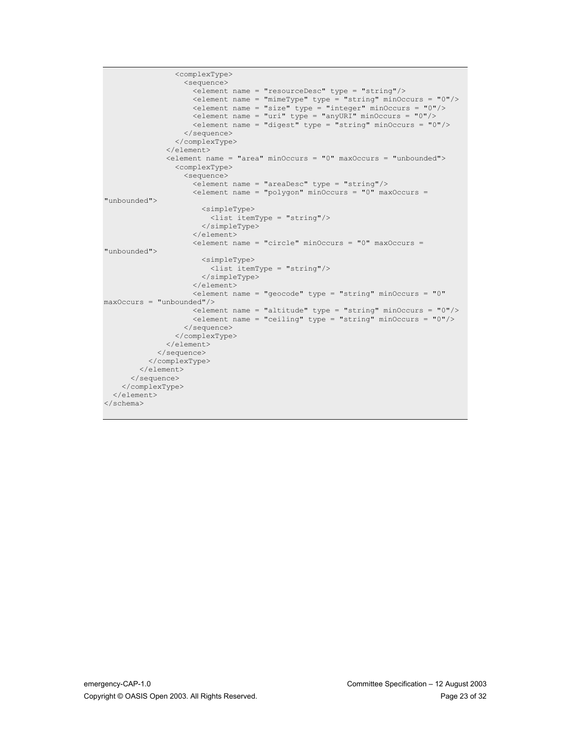```
 <complexType>
                   <sequence>
                    \epsilon-element name = "resourceDesc" type = "string"/>
                   \leq element name = "mimeType" type = "string" minOccurs = "0"/>
<element name = "size" type = "integer" minOccurs = "0"/>
 <element name = "uri" type = "anyURI" minOccurs = "0"/>
                    \leq element name = "digest" type = "string" minOccurs = "0"/>
                   </sequence>
                 </complexType>
               </element>
              \leq element name = "area" minOccurs = "0" maxOccurs = "unbounded">
                 <complexType>
                   <sequence>
                   \epsilon-element name = "areaDesc" type = "string"/>
                   \leq element name = "polygon" minOccurs = "0" maxOccurs =
"unbounded">
                      <simpleType>
                        <list itemType = "string"/>
                       </simpleType>
                    \langle/element>
                    \leq element name = "circle" minOccurs = "0" maxOccurs =
"unbounded">
                      <simpleType>
                        <list itemType = "string"/>
                      </simpleType>
                     </element>
                     <element name = "geocode" type = "string" minOccurs = "0"
maxOccurs = "unbounded"/>
 <element name = "altitude" type = "string" minOccurs = "0"/>
 <element name = "ceiling" type = "string" minOccurs = "0"/>
                   </sequence>
                 </complexType>
               </element>
            </sequence>
           </complexType>
         </element>
       </sequence>
     </complexType>
   </element>
</schema>
```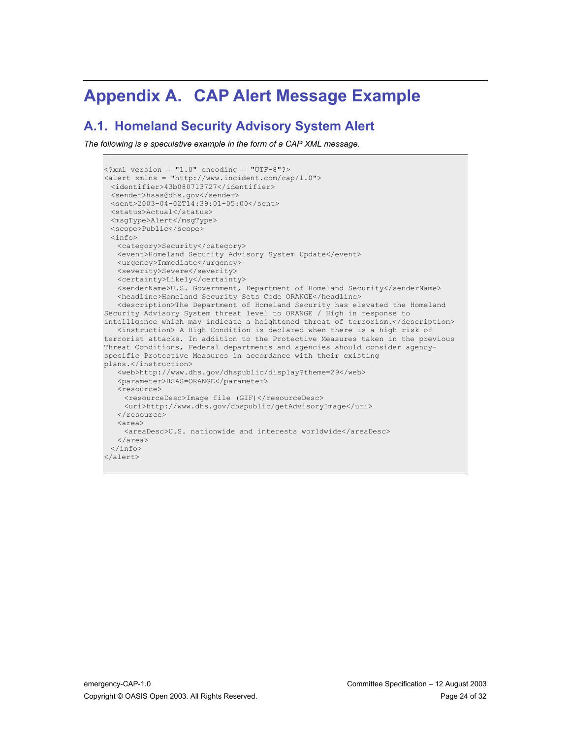# **Appendix A. CAP Alert Message Example**

#### **A.1. Homeland Security Advisory System Alert**

```
\langle ?xm1 version = "1.0" encoding = "UTF-8"?>
<alert xmlns = "http://www.incident.com/cap/1.0">
 <identifier>43b080713727</identifier>
 <sender>hsas@dhs.gov</sender>
 <sent>2003-04-02T14:39:01-05:00</sent>
 <status>Actual</status>
 <msgType>Alert</msgType>
 <scope>Public</scope>
 <info>
   <category>Security</category>
   <event>Homeland Security Advisory System Update</event>
   <urgency>Immediate</urgency>
   <severity>Severe</severity>
   <certainty>Likely</certainty>
   <senderName>U.S. Government, Department of Homeland Security</senderName>
   <headline>Homeland Security Sets Code ORANGE</headline>
   <description>The Department of Homeland Security has elevated the Homeland
Security Advisory System threat level to ORANGE / High in response to
intelligence which may indicate a heightened threat of terrorism.</description>
   <instruction> A High Condition is declared when there is a high risk of
terrorist attacks. In addition to the Protective Measures taken in the previous
Threat Conditions, Federal departments and agencies should consider agency-
specific Protective Measures in accordance with their existing
plans.</instruction>
   <web>http://www.dhs.gov/dhspublic/display?theme=29</web>
   <parameter>HSAS=ORANGE</parameter>
   <resource>
    <resourceDesc>Image file (GIF)</resourceDesc>
    <uri>http://www.dhs.gov/dhspublic/getAdvisoryImage</uri>
   \langle/resource>
   <area>
    <areaDesc>U.S. nationwide and interests worldwide</areaDesc>
   </area>
 </info>
</alert>
```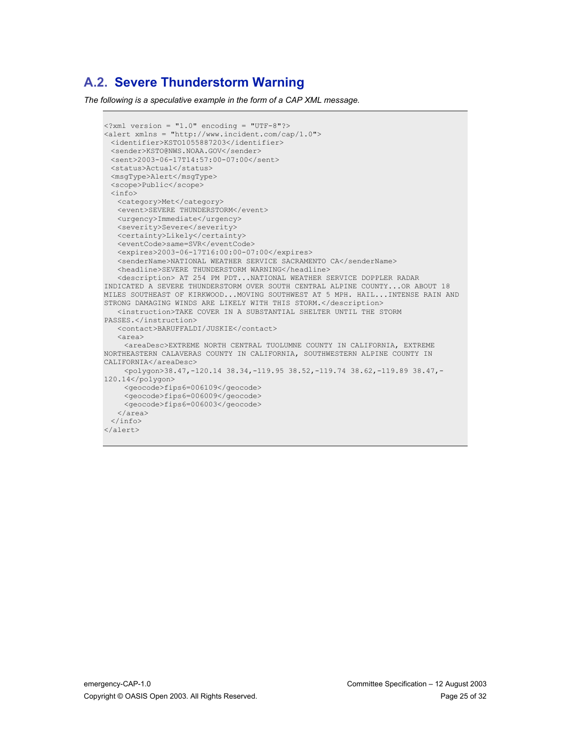## **A.2. Severe Thunderstorm Warning**

```
\langle ?xm1 version = "1.0" encoding = "UTF-8"?>
\text{kale} = \text{mhtp://www.incident.com/cap/1.0"}<identifier>KSTO1055887203</identifier>
 <sender>KSTO@NWS.NOAA.GOV</sender>
 <sent>2003-06-17T14:57:00-07:00</sent>
 <status>Actual</status>
 <msgType>Alert</msgType>
 <scope>Public</scope>
 <info>
   <category>Met</category>
   <event>SEVERE THUNDERSTORM</event>
   <urgency>Immediate</urgency>
   <severity>Severe</severity>
   <certainty>Likely</certainty>
   <eventCode>same=SVR</eventCode>
   <expires>2003-06-17T16:00:00-07:00</expires>
   <senderName>NATIONAL WEATHER SERVICE SACRAMENTO CA</senderName>
   <headline>SEVERE THUNDERSTORM WARNING</headline>
   <description> AT 254 PM PDT...NATIONAL WEATHER SERVICE DOPPLER RADAR
INDICATED A SEVERE THUNDERSTORM OVER SOUTH CENTRAL ALPINE COUNTY...OR ABOUT 18
MILES SOUTHEAST OF KIRKWOOD...MOVING SOUTHWEST AT 5 MPH. HAIL...INTENSE RAIN AND
STRONG DAMAGING WINDS ARE LIKELY WITH THIS STORM.</description>
   <instruction>TAKE COVER IN A SUBSTANTIAL SHELTER UNTIL THE STORM
PASSES.</instruction>
   <contact>BARUFFALDI/JUSKIE</contact>
   <area>
    <areaDesc>EXTREME NORTH CENTRAL TUOLUMNE COUNTY IN CALIFORNIA, EXTREME
NORTHEASTERN CALAVERAS COUNTY IN CALIFORNIA, SOUTHWESTERN ALPINE COUNTY IN
CALIFORNIA</areaDesc>
    <polygon>38.47,-120.14 38.34,-119.95 38.52,-119.74 38.62,-119.89 38.47,-
120.14</polygon>
    <geocode>fips6=006109</geocode>
    <geocode>fips6=006009</geocode>
    <geocode>fips6=006003</geocode>
   </area>
 </info>
</alert>
```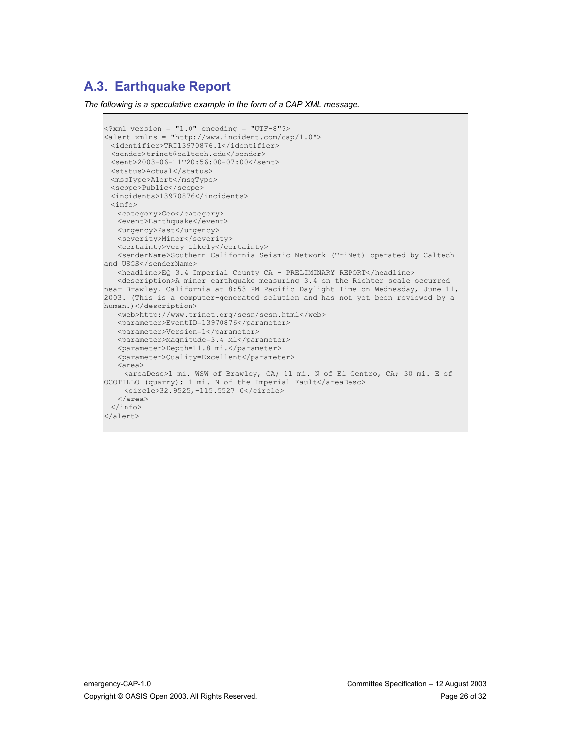## **A.3. Earthquake Report**

```
\langle ? \text{xml version} = "1.0" encoding = "UTF-8"?\rangle<alert xmlns = "http://www.incident.com/cap/1.0">
 <identifier>TRI13970876.1</identifier>
 <sender>trinet@caltech.edu</sender>
 <sent>2003-06-11T20:56:00-07:00</sent>
 <status>Actual</status>
 <msgType>Alert</msgType>
 <scope>Public</scope>
 <incidents>13970876</incidents>
 <info>
   <category>Geo</category>
   <event>Earthquake</event>
   <urgency>Past</urgency>
   <severity>Minor</severity> 
   <certainty>Very Likely</certainty>
   <senderName>Southern California Seismic Network (TriNet) operated by Caltech
and USGS</senderName>
   <headline>EQ 3.4 Imperial County CA - PRELIMINARY REPORT</headline>
   <description>A minor earthquake measuring 3.4 on the Richter scale occurred
near Brawley, California at 8:53 PM Pacific Daylight Time on Wednesday, June 11,
2003. (This is a computer-generated solution and has not yet been reviewed by a
human.)</description>
   <web>http://www.trinet.org/scsn/scsn.html</web>
   <parameter>EventID=13970876</parameter>
   <parameter>Version=1</parameter>
   <parameter>Magnitude=3.4 Ml</parameter>
   <parameter>Depth=11.8 mi.</parameter>
   <parameter>Quality=Excellent</parameter>
   <area>
    <areaDesc>1 mi. WSW of Brawley, CA; 11 mi. N of El Centro, CA; 30 mi. E of
OCOTILLO (quarry); 1 mi. N of the Imperial Fault</areaDesc>
    <circle>32.9525,-115.5527 0</circle>
   </area>
 \langle/info>
</alert>
```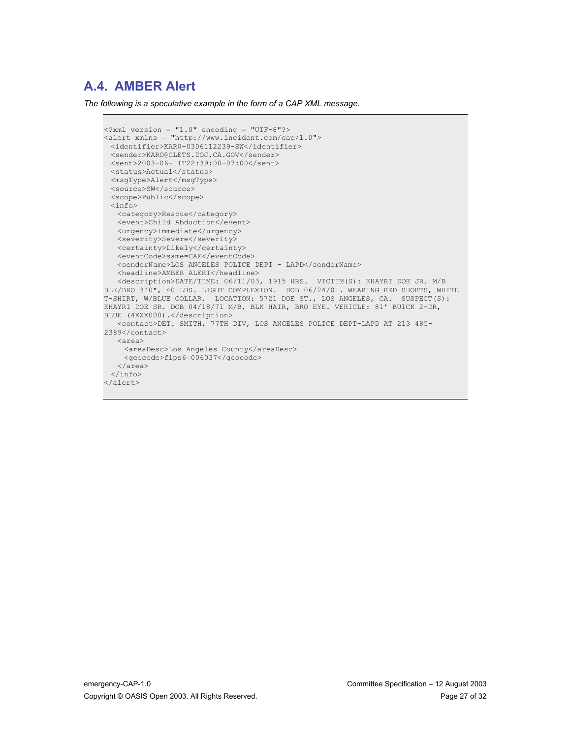## **A.4. AMBER Alert**

```
\langle 2 \times 2 \times 2 \times 1 \rangle version = "1.0" encoding = "UTF-8"?>
<alert xmlns = "http://www.incident.com/cap/1.0">
 <identifier>KAR0-0306112239-SW</identifier>
 <sender>KARO@CLETS.DOJ.CA.GOV</sender>
 <sent>2003-06-11T22:39:00-07:00</sent>
 <status>Actual</status>
 <msgType>Alert</msgType>
 <source>SW</source>
 <scope>Public</scope>
 \langleinfo\rangle<category>Rescue</category>
  <event>Child Abduction</event>
   <urgency>Immediate</urgency>
   <severity>Severe</severity>
   <certainty>Likely</certainty>
   <eventCode>same=CAE</eventCode>
   <senderName>LOS ANGELES POLICE DEPT - LAPD</senderName>
   <headline>AMBER ALERT</headline>
   <description>DATE/TIME: 06/11/03, 1915 HRS. VICTIM(S): KHAYRI DOE JR. M/B
BLK/BRO 3'0", 40 LBS. LIGHT COMPLEXION. DOB 06/24/01. WEARING RED SHORTS, WHITE
T-SHIRT, W/BLUE COLLAR. LOCATION: 5721 DOE ST., LOS ANGELES, CA. SUSPECT(S):
KHAYRI DOE SR. DOB 04/18/71 M/B, BLK HAIR, BRO EYE. VEHICLE: 81' BUICK 2-DR,
BLUE (4XXX000).</description>
   <contact>DET. SMITH, 77TH DIV, LOS ANGELES POLICE DEPT-LAPD AT 213 485-
2389</contact>
   <area>
    <areaDesc>Los Angeles County</areaDesc>
    <geocode>fips6=006037</geocode>
   </area>
 </info>
</alert>
```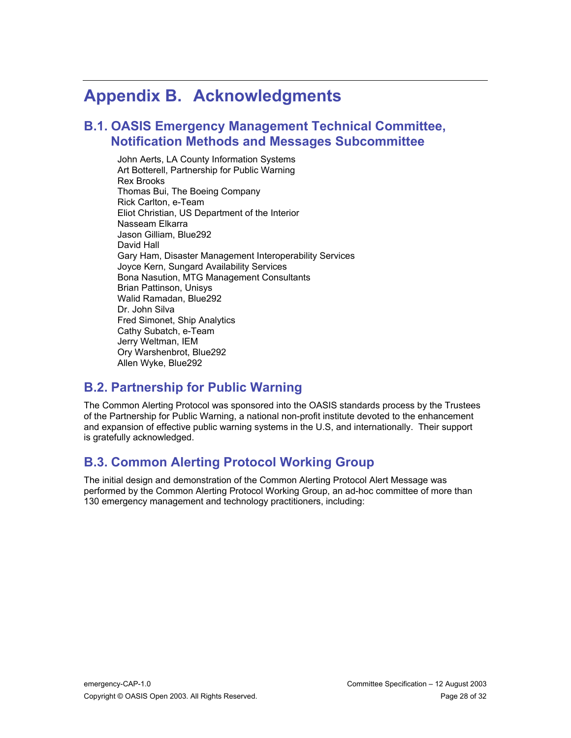# **Appendix B. Acknowledgments**

#### **B.1. OASIS Emergency Management Technical Committee, Notification Methods and Messages Subcommittee**

John Aerts, LA County Information Systems Art Botterell, Partnership for Public Warning Rex Brooks Thomas Bui, The Boeing Company Rick Carlton, e-Team Eliot Christian, US Department of the Interior Nasseam Elkarra Jason Gilliam, Blue292 David Hall Gary Ham, Disaster Management Interoperability Services Joyce Kern, Sungard Availability Services Bona Nasution, MTG Management Consultants Brian Pattinson, Unisys Walid Ramadan, Blue292 Dr. John Silva Fred Simonet, Ship Analytics Cathy Subatch, e-Team Jerry Weltman, IEM Ory Warshenbrot, Blue292 Allen Wyke, Blue292

## **B.2. Partnership for Public Warning**

The Common Alerting Protocol was sponsored into the OASIS standards process by the Trustees of the Partnership for Public Warning, a national non-profit institute devoted to the enhancement and expansion of effective public warning systems in the U.S, and internationally. Their support is gratefully acknowledged.

## **B.3. Common Alerting Protocol Working Group**

The initial design and demonstration of the Common Alerting Protocol Alert Message was performed by the Common Alerting Protocol Working Group, an ad-hoc committee of more than 130 emergency management and technology practitioners, including: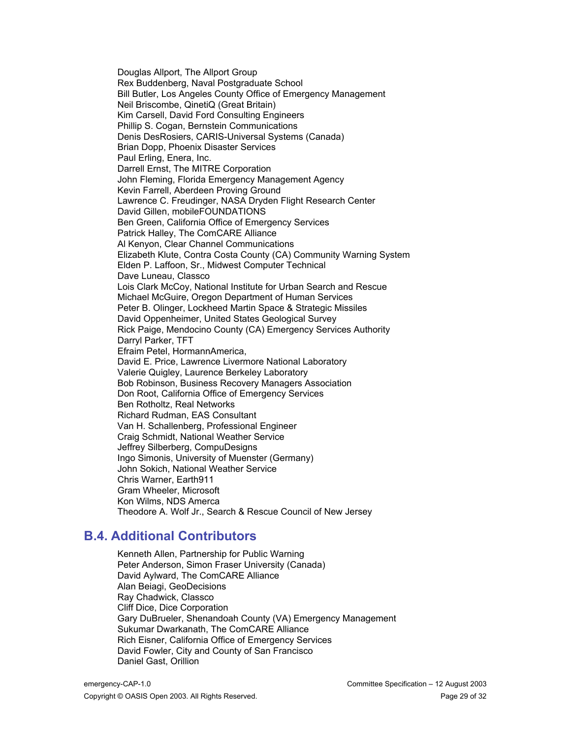Douglas Allport, The Allport Group Rex Buddenberg, Naval Postgraduate School Bill Butler, Los Angeles County Office of Emergency Management Neil Briscombe, QinetiQ (Great Britain) Kim Carsell, David Ford Consulting Engineers Phillip S. Cogan, Bernstein Communications Denis DesRosiers, CARIS-Universal Systems (Canada) Brian Dopp, Phoenix Disaster Services Paul Erling, Enera, Inc. Darrell Ernst, The MITRE Corporation John Fleming, Florida Emergency Management Agency Kevin Farrell, Aberdeen Proving Ground Lawrence C. Freudinger, NASA Dryden Flight Research Center David Gillen, mobileFOUNDATIONS Ben Green, California Office of Emergency Services Patrick Halley, The ComCARE Alliance Al Kenyon, Clear Channel Communications Elizabeth Klute, Contra Costa County (CA) Community Warning System Elden P. Laffoon, Sr., Midwest Computer Technical Dave Luneau, Classco Lois Clark McCoy, National Institute for Urban Search and Rescue Michael McGuire, Oregon Department of Human Services Peter B. Olinger, Lockheed Martin Space & Strategic Missiles David Oppenheimer, United States Geological Survey Rick Paige, Mendocino County (CA) Emergency Services Authority Darryl Parker, TFT Efraim Petel, HormannAmerica, David E. Price, Lawrence Livermore National Laboratory Valerie Quigley, Laurence Berkeley Laboratory Bob Robinson, Business Recovery Managers Association Don Root, California Office of Emergency Services Ben Rotholtz, Real Networks Richard Rudman, EAS Consultant Van H. Schallenberg, Professional Engineer Craig Schmidt, National Weather Service Jeffrey Silberberg, CompuDesigns Ingo Simonis, University of Muenster (Germany) John Sokich, National Weather Service Chris Warner, Earth911 Gram Wheeler, Microsoft Kon Wilms, NDS Amerca Theodore A. Wolf Jr., Search & Rescue Council of New Jersey

#### **B.4. Additional Contributors**

Kenneth Allen, Partnership for Public Warning Peter Anderson, Simon Fraser University (Canada) David Aylward, The ComCARE Alliance Alan Beiagi, GeoDecisions Ray Chadwick, Classco Cliff Dice, Dice Corporation Gary DuBrueler, Shenandoah County (VA) Emergency Management Sukumar Dwarkanath, The ComCARE Alliance Rich Eisner, California Office of Emergency Services David Fowler, City and County of San Francisco Daniel Gast, Orillion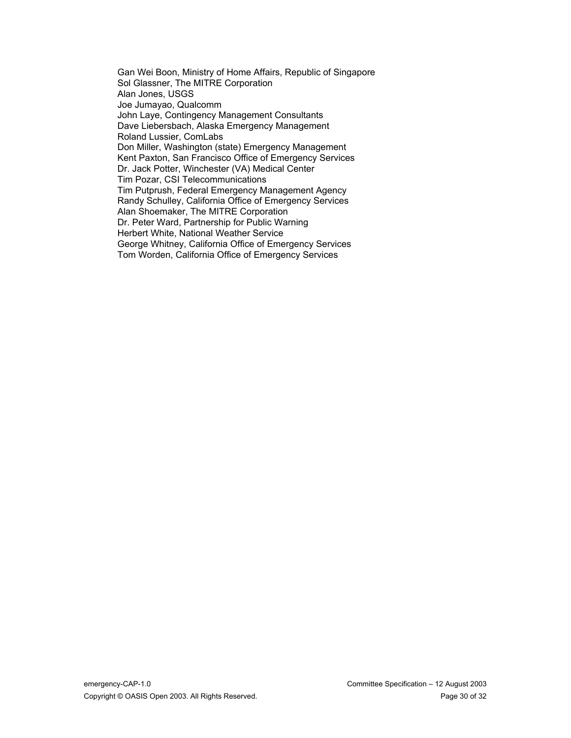Gan Wei Boon, Ministry of Home Affairs, Republic of Singapore Sol Glassner, The MITRE Corporation Alan Jones, USGS Joe Jumayao, Qualcomm John Laye, Contingency Management Consultants Dave Liebersbach, Alaska Emergency Management Roland Lussier, ComLabs Don Miller, Washington (state) Emergency Management Kent Paxton, San Francisco Office of Emergency Services Dr. Jack Potter, Winchester (VA) Medical Center Tim Pozar, CSI Telecommunications Tim Putprush, Federal Emergency Management Agency Randy Schulley, California Office of Emergency Services Alan Shoemaker, The MITRE Corporation Dr. Peter Ward, Partnership for Public Warning Herbert White, National Weather Service George Whitney, California Office of Emergency Services Tom Worden, California Office of Emergency Services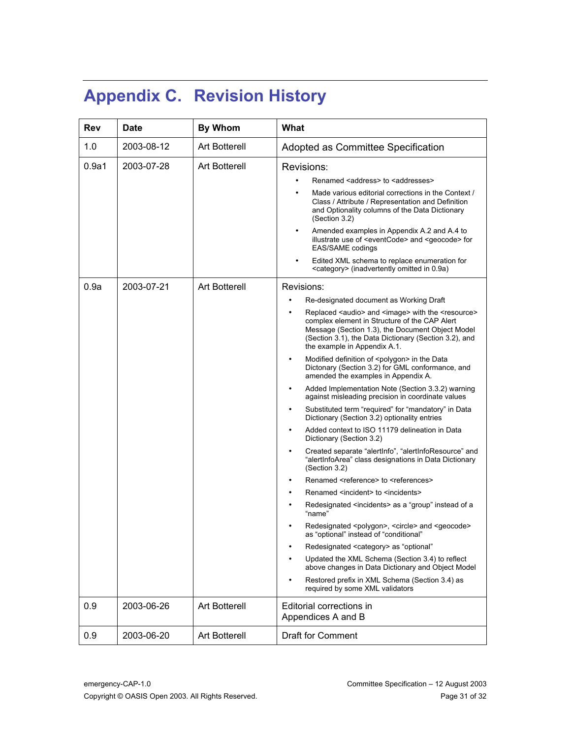# **Appendix C. Revision History**

| Rev   | <b>Date</b> | <b>By Whom</b>       | What                                                                                                                                                                                                                                                                   |
|-------|-------------|----------------------|------------------------------------------------------------------------------------------------------------------------------------------------------------------------------------------------------------------------------------------------------------------------|
| 1.0   | 2003-08-12  | <b>Art Botterell</b> | Adopted as Committee Specification                                                                                                                                                                                                                                     |
| 0.9a1 | 2003-07-28  | <b>Art Botterell</b> | Revisions:                                                                                                                                                                                                                                                             |
|       |             |                      | Renamed <address> to <addresses></addresses></address>                                                                                                                                                                                                                 |
|       |             |                      | Made various editorial corrections in the Context /<br>Class / Attribute / Representation and Definition<br>and Optionality columns of the Data Dictionary<br>(Section 3.2)                                                                                            |
|       |             |                      | Amended examples in Appendix A.2 and A.4 to<br>illustrate use of <eventcode> and <geocode> for<br/>EAS/SAME codings</geocode></eventcode>                                                                                                                              |
|       |             |                      | Edited XML schema to replace enumeration for<br><category> (inadvertently omitted in 0.9a)</category>                                                                                                                                                                  |
| 0.9a  | 2003-07-21  | Art Botterell        | Revisions:                                                                                                                                                                                                                                                             |
|       |             |                      | Re-designated document as Working Draft                                                                                                                                                                                                                                |
|       |             |                      | Replaced <audio> and <image/> with the <resource><br/>complex element in Structure of the CAP Alert<br/>Message (Section 1.3), the Document Object Model<br/>(Section 3.1), the Data Dictionary (Section 3.2), and<br/>the example in Appendix A.1.</resource></audio> |
|       |             |                      | Modified definition of <polygon> in the Data<br/>Dictonary (Section 3.2) for GML conformance, and<br/>amended the examples in Appendix A.</polygon>                                                                                                                    |
|       |             |                      | Added Implementation Note (Section 3.3.2) warning<br>against misleading precision in coordinate values                                                                                                                                                                 |
|       |             |                      | Substituted term "required" for "mandatory" in Data<br>Dictionary (Section 3.2) optionality entries                                                                                                                                                                    |
|       |             |                      | Added context to ISO 11179 delineation in Data<br>Dictionary (Section 3.2)                                                                                                                                                                                             |
|       |             |                      | Created separate "alertInfo", "alertInfoResource" and<br>"alertInfoArea" class designations in Data Dictionary<br>(Section 3.2)                                                                                                                                        |
|       |             |                      | Renamed <reference> to <references></references></reference>                                                                                                                                                                                                           |
|       |             |                      | Renamed <incident> to <incidents></incidents></incident>                                                                                                                                                                                                               |
|       |             |                      | Redesignated <incidents> as a "group" instead of a<br/>"name"</incidents>                                                                                                                                                                                              |
|       |             |                      | Redesignated <polygon>, <circle> and <geocode><br/>as "optional" instead of "conditional"</geocode></circle></polygon>                                                                                                                                                 |
|       |             |                      | Redesignated <category> as "optional"</category>                                                                                                                                                                                                                       |
|       |             |                      | Updated the XML Schema (Section 3.4) to reflect<br>above changes in Data Dictionary and Object Model                                                                                                                                                                   |
|       |             |                      | Restored prefix in XML Schema (Section 3.4) as<br>required by some XML validators                                                                                                                                                                                      |
| 0.9   | 2003-06-26  | <b>Art Botterell</b> | Editorial corrections in<br>Appendices A and B                                                                                                                                                                                                                         |
| 0.9   | 2003-06-20  | <b>Art Botterell</b> | <b>Draft for Comment</b>                                                                                                                                                                                                                                               |